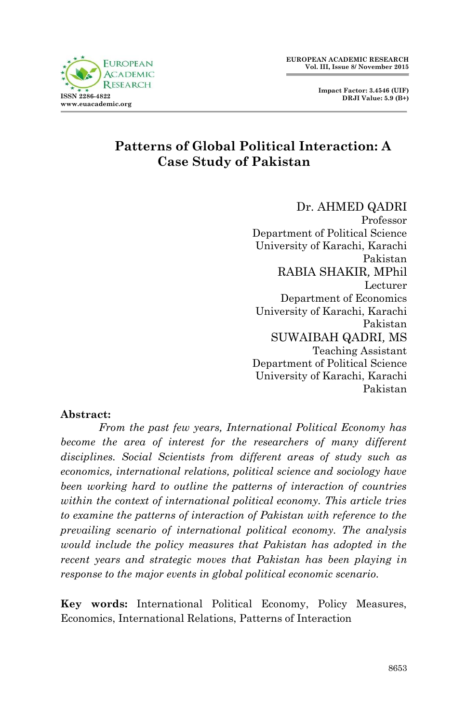**Impact Factor: 3.4546 (UIF) DRJI Value: 5.9 (B+)**



## **Patterns of Global Political Interaction: A Case Study of Pakistan**

Dr. AHMED QADRI Professor Department of Political Science University of Karachi, Karachi Pakistan RABIA SHAKIR*,* MPhil Lecturer Department of Economics University of Karachi, Karachi Pakistan SUWAIBAH QADRI*,* MS Teaching Assistant Department of Political Science University of Karachi, Karachi Pakistan

#### **Abstract:**

*From the past few years, International Political Economy has become the area of interest for the researchers of many different disciplines. Social Scientists from different areas of study such as economics, international relations, political science and sociology have been working hard to outline the patterns of interaction of countries within the context of international political economy. This article tries to examine the patterns of interaction of Pakistan with reference to the prevailing scenario of international political economy. The analysis would include the policy measures that Pakistan has adopted in the recent years and strategic moves that Pakistan has been playing in response to the major events in global political economic scenario.*

**Key words:** International Political Economy, Policy Measures, Economics, International Relations, Patterns of Interaction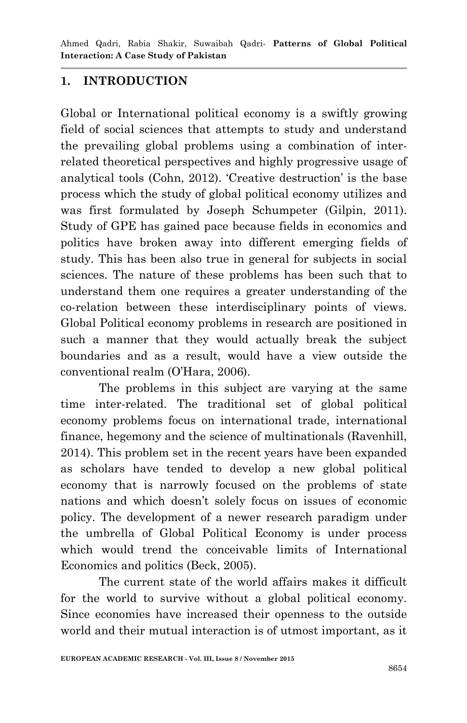Ahmed Qadri, Rabia Shakir, Suwaibah Qadri*-* **Patterns of Global Political Interaction: A Case Study of Pakistan**

#### **1. INTRODUCTION**

Global or International political economy is a swiftly growing field of social sciences that attempts to study and understand the prevailing global problems using a combination of interrelated theoretical perspectives and highly progressive usage of analytical tools (Cohn, 2012). "Creative destruction" is the base process which the study of global political economy utilizes and was first formulated by Joseph Schumpeter (Gilpin, 2011). Study of GPE has gained pace because fields in economics and politics have broken away into different emerging fields of study. This has been also true in general for subjects in social sciences. The nature of these problems has been such that to understand them one requires a greater understanding of the co-relation between these interdisciplinary points of views. Global Political economy problems in research are positioned in such a manner that they would actually break the subject boundaries and as a result, would have a view outside the conventional realm (O"Hara, 2006).

The problems in this subject are varying at the same time inter-related. The traditional set of global political economy problems focus on international trade, international finance, hegemony and the science of multinationals (Ravenhill, 2014). This problem set in the recent years have been expanded as scholars have tended to develop a new global political economy that is narrowly focused on the problems of state nations and which doesn't solely focus on issues of economic policy. The development of a newer research paradigm under the umbrella of Global Political Economy is under process which would trend the conceivable limits of International Economics and politics (Beck, 2005).

The current state of the world affairs makes it difficult for the world to survive without a global political economy. Since economies have increased their openness to the outside world and their mutual interaction is of utmost important, as it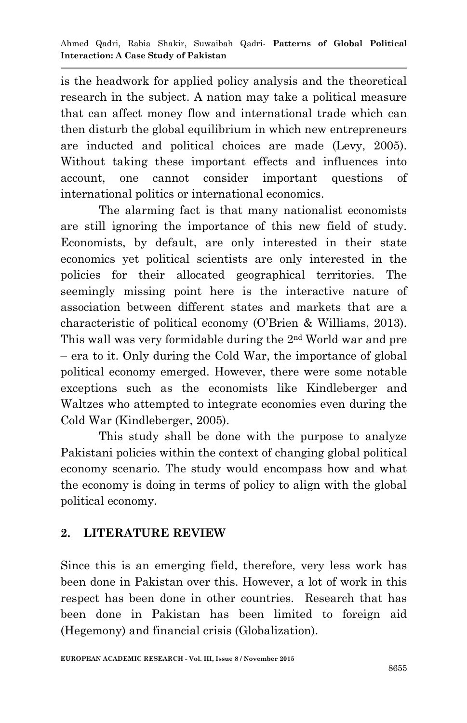is the headwork for applied policy analysis and the theoretical research in the subject. A nation may take a political measure that can affect money flow and international trade which can then disturb the global equilibrium in which new entrepreneurs are inducted and political choices are made (Levy, 2005). Without taking these important effects and influences into account, one cannot consider important questions of international politics or international economics.

The alarming fact is that many nationalist economists are still ignoring the importance of this new field of study. Economists, by default, are only interested in their state economics yet political scientists are only interested in the policies for their allocated geographical territories. The seemingly missing point here is the interactive nature of association between different states and markets that are a characteristic of political economy (O"Brien & Williams, 2013). This wall was very formidable during the 2nd World war and pre – era to it. Only during the Cold War, the importance of global political economy emerged. However, there were some notable exceptions such as the economists like Kindleberger and Waltzes who attempted to integrate economies even during the Cold War (Kindleberger, 2005).

This study shall be done with the purpose to analyze Pakistani policies within the context of changing global political economy scenario. The study would encompass how and what the economy is doing in terms of policy to align with the global political economy.

## **2. LITERATURE REVIEW**

Since this is an emerging field, therefore, very less work has been done in Pakistan over this. However, a lot of work in this respect has been done in other countries. Research that has been done in Pakistan has been limited to foreign aid (Hegemony) and financial crisis (Globalization).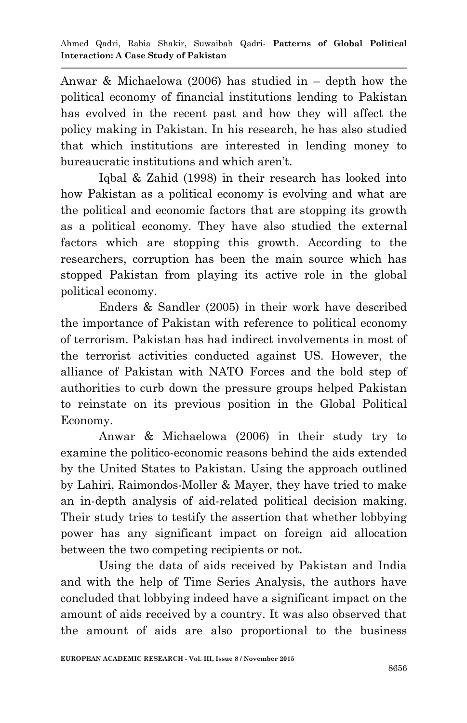Anwar & Michaelowa (2006) has studied in – depth how the political economy of financial institutions lending to Pakistan has evolved in the recent past and how they will affect the policy making in Pakistan. In his research, he has also studied that which institutions are interested in lending money to bureaucratic institutions and which aren't.

Iqbal & Zahid (1998) in their research has looked into how Pakistan as a political economy is evolving and what are the political and economic factors that are stopping its growth as a political economy. They have also studied the external factors which are stopping this growth. According to the researchers, corruption has been the main source which has stopped Pakistan from playing its active role in the global political economy.

Enders & Sandler (2005) in their work have described the importance of Pakistan with reference to political economy of terrorism. Pakistan has had indirect involvements in most of the terrorist activities conducted against US. However, the alliance of Pakistan with NATO Forces and the bold step of authorities to curb down the pressure groups helped Pakistan to reinstate on its previous position in the Global Political Economy.

Anwar & Michaelowa (2006) in their study try to examine the politico-economic reasons behind the aids extended by the United States to Pakistan. Using the approach outlined by Lahiri, Raimondos-Moller & Mayer, they have tried to make an in-depth analysis of aid-related political decision making. Their study tries to testify the assertion that whether lobbying power has any significant impact on foreign aid allocation between the two competing recipients or not.

Using the data of aids received by Pakistan and India and with the help of Time Series Analysis, the authors have concluded that lobbying indeed have a significant impact on the amount of aids received by a country. It was also observed that the amount of aids are also proportional to the business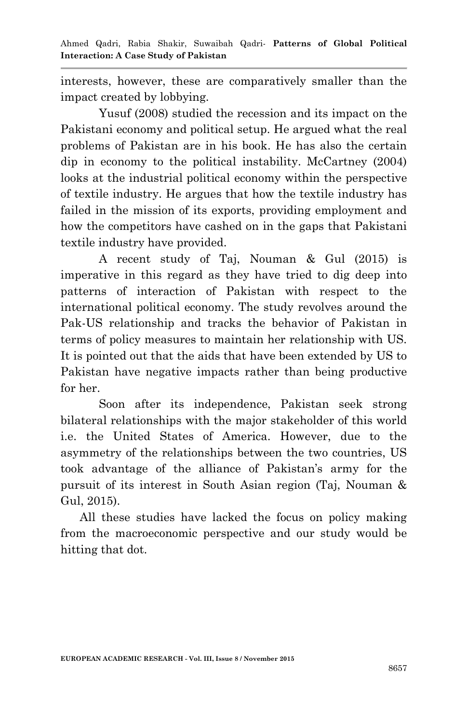interests, however, these are comparatively smaller than the impact created by lobbying.

Yusuf (2008) studied the recession and its impact on the Pakistani economy and political setup. He argued what the real problems of Pakistan are in his book. He has also the certain dip in economy to the political instability. McCartney (2004) looks at the industrial political economy within the perspective of textile industry. He argues that how the textile industry has failed in the mission of its exports, providing employment and how the competitors have cashed on in the gaps that Pakistani textile industry have provided.

A recent study of Taj, Nouman & Gul (2015) is imperative in this regard as they have tried to dig deep into patterns of interaction of Pakistan with respect to the international political economy. The study revolves around the Pak-US relationship and tracks the behavior of Pakistan in terms of policy measures to maintain her relationship with US. It is pointed out that the aids that have been extended by US to Pakistan have negative impacts rather than being productive for her.

Soon after its independence, Pakistan seek strong bilateral relationships with the major stakeholder of this world i.e. the United States of America. However, due to the asymmetry of the relationships between the two countries, US took advantage of the alliance of Pakistan"s army for the pursuit of its interest in South Asian region (Taj, Nouman & Gul, 2015).

All these studies have lacked the focus on policy making from the macroeconomic perspective and our study would be hitting that dot.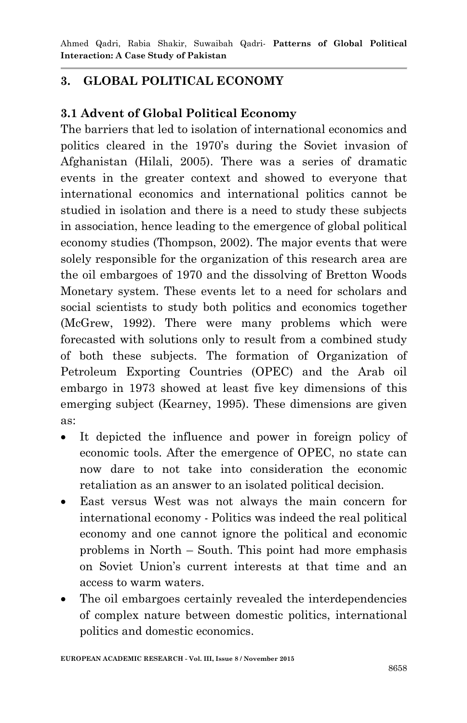# **3. GLOBAL POLITICAL ECONOMY**

# **3.1 Advent of Global Political Economy**

The barriers that led to isolation of international economics and politics cleared in the 1970"s during the Soviet invasion of Afghanistan (Hilali, 2005). There was a series of dramatic events in the greater context and showed to everyone that international economics and international politics cannot be studied in isolation and there is a need to study these subjects in association, hence leading to the emergence of global political economy studies (Thompson, 2002). The major events that were solely responsible for the organization of this research area are the oil embargoes of 1970 and the dissolving of Bretton Woods Monetary system. These events let to a need for scholars and social scientists to study both politics and economics together (McGrew, 1992). There were many problems which were forecasted with solutions only to result from a combined study of both these subjects. The formation of Organization of Petroleum Exporting Countries (OPEC) and the Arab oil embargo in 1973 showed at least five key dimensions of this emerging subject (Kearney, 1995). These dimensions are given as:

- It depicted the influence and power in foreign policy of economic tools. After the emergence of OPEC, no state can now dare to not take into consideration the economic retaliation as an answer to an isolated political decision.
- East versus West was not always the main concern for international economy - Politics was indeed the real political economy and one cannot ignore the political and economic problems in North – South. This point had more emphasis on Soviet Union"s current interests at that time and an access to warm waters.
- The oil embargoes certainly revealed the interdependencies of complex nature between domestic politics, international politics and domestic economics.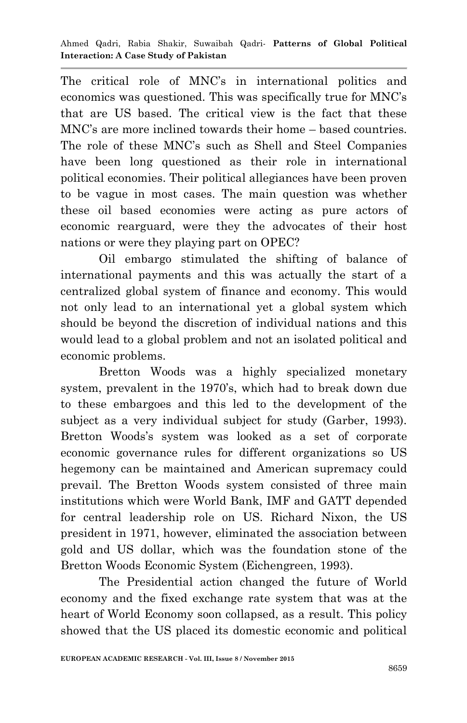The critical role of MNC"s in international politics and economics was questioned. This was specifically true for MNC"s that are US based. The critical view is the fact that these MNC"s are more inclined towards their home – based countries. The role of these MNC"s such as Shell and Steel Companies have been long questioned as their role in international political economies. Their political allegiances have been proven to be vague in most cases. The main question was whether these oil based economies were acting as pure actors of economic rearguard, were they the advocates of their host nations or were they playing part on OPEC?

Oil embargo stimulated the shifting of balance of international payments and this was actually the start of a centralized global system of finance and economy. This would not only lead to an international yet a global system which should be beyond the discretion of individual nations and this would lead to a global problem and not an isolated political and economic problems.

Bretton Woods was a highly specialized monetary system, prevalent in the 1970's, which had to break down due to these embargoes and this led to the development of the subject as a very individual subject for study (Garber, 1993). Bretton Woods"s system was looked as a set of corporate economic governance rules for different organizations so US hegemony can be maintained and American supremacy could prevail. The Bretton Woods system consisted of three main institutions which were World Bank, IMF and GATT depended for central leadership role on US. Richard Nixon, the US president in 1971, however, eliminated the association between gold and US dollar, which was the foundation stone of the Bretton Woods Economic System (Eichengreen, 1993).

The Presidential action changed the future of World economy and the fixed exchange rate system that was at the heart of World Economy soon collapsed, as a result. This policy showed that the US placed its domestic economic and political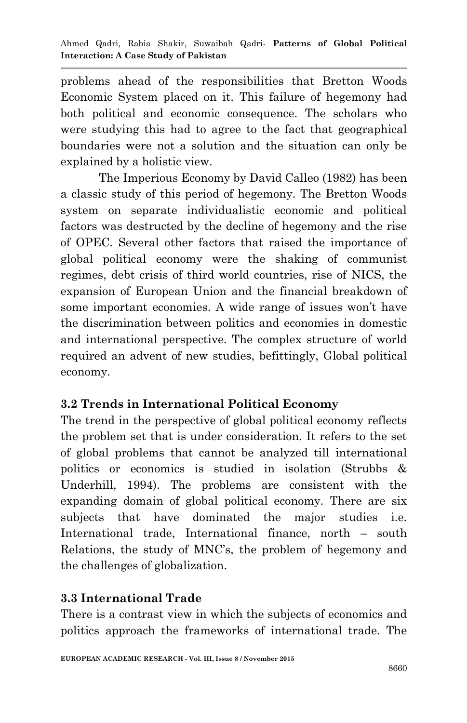problems ahead of the responsibilities that Bretton Woods Economic System placed on it. This failure of hegemony had both political and economic consequence. The scholars who were studying this had to agree to the fact that geographical boundaries were not a solution and the situation can only be explained by a holistic view.

The Imperious Economy by David Calleo (1982) has been a classic study of this period of hegemony. The Bretton Woods system on separate individualistic economic and political factors was destructed by the decline of hegemony and the rise of OPEC. Several other factors that raised the importance of global political economy were the shaking of communist regimes, debt crisis of third world countries, rise of NICS, the expansion of European Union and the financial breakdown of some important economies. A wide range of issues won"t have the discrimination between politics and economies in domestic and international perspective. The complex structure of world required an advent of new studies, befittingly, Global political economy.

## **3.2 Trends in International Political Economy**

The trend in the perspective of global political economy reflects the problem set that is under consideration. It refers to the set of global problems that cannot be analyzed till international politics or economics is studied in isolation (Strubbs & Underhill, 1994). The problems are consistent with the expanding domain of global political economy. There are six subjects that have dominated the major studies i.e. International trade, International finance, north – south Relations, the study of MNC"s, the problem of hegemony and the challenges of globalization.

## **3.3 International Trade**

There is a contrast view in which the subjects of economics and politics approach the frameworks of international trade. The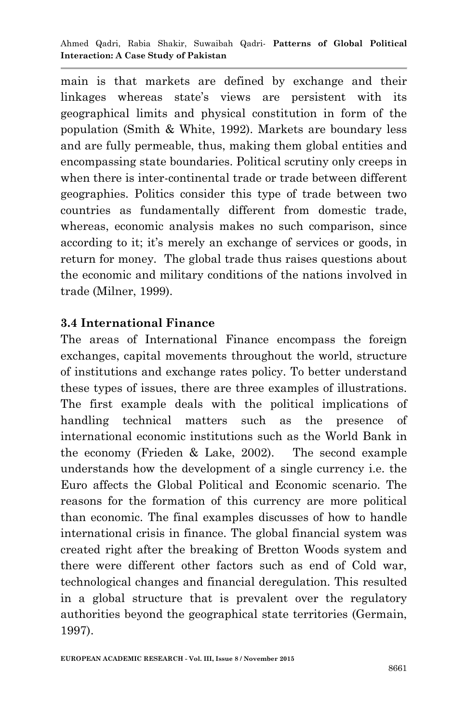main is that markets are defined by exchange and their linkages whereas state's views are persistent with its geographical limits and physical constitution in form of the population (Smith & White, 1992). Markets are boundary less and are fully permeable, thus, making them global entities and encompassing state boundaries. Political scrutiny only creeps in when there is inter-continental trade or trade between different geographies. Politics consider this type of trade between two countries as fundamentally different from domestic trade, whereas, economic analysis makes no such comparison, since according to it; it's merely an exchange of services or goods, in return for money. The global trade thus raises questions about the economic and military conditions of the nations involved in trade (Milner, 1999).

## **3.4 International Finance**

The areas of International Finance encompass the foreign exchanges, capital movements throughout the world, structure of institutions and exchange rates policy. To better understand these types of issues, there are three examples of illustrations. The first example deals with the political implications of handling technical matters such as the presence of international economic institutions such as the World Bank in the economy (Frieden & Lake, 2002). The second example understands how the development of a single currency i.e. the Euro affects the Global Political and Economic scenario. The reasons for the formation of this currency are more political than economic. The final examples discusses of how to handle international crisis in finance. The global financial system was created right after the breaking of Bretton Woods system and there were different other factors such as end of Cold war, technological changes and financial deregulation. This resulted in a global structure that is prevalent over the regulatory authorities beyond the geographical state territories (Germain, 1997).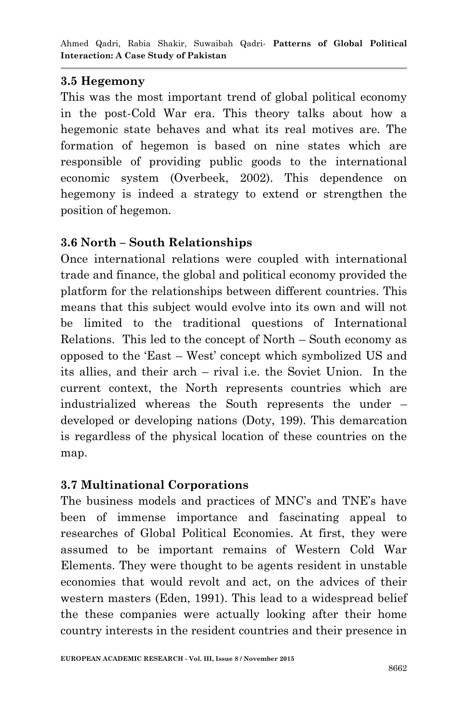#### **3.5 Hegemony**

This was the most important trend of global political economy in the post-Cold War era. This theory talks about how a hegemonic state behaves and what its real motives are. The formation of hegemon is based on nine states which are responsible of providing public goods to the international economic system (Overbeek, 2002). This dependence on hegemony is indeed a strategy to extend or strengthen the position of hegemon.

## **3.6 North – South Relationships**

Once international relations were coupled with international trade and finance, the global and political economy provided the platform for the relationships between different countries. This means that this subject would evolve into its own and will not be limited to the traditional questions of International Relations. This led to the concept of North – South economy as opposed to the "East – West" concept which symbolized US and its allies, and their arch – rival i.e. the Soviet Union. In the current context, the North represents countries which are industrialized whereas the South represents the under – developed or developing nations (Doty, 199). This demarcation is regardless of the physical location of these countries on the map.

## **3.7 Multinational Corporations**

The business models and practices of MNC"s and TNE"s have been of immense importance and fascinating appeal to researches of Global Political Economies. At first, they were assumed to be important remains of Western Cold War Elements. They were thought to be agents resident in unstable economies that would revolt and act, on the advices of their western masters (Eden, 1991). This lead to a widespread belief the these companies were actually looking after their home country interests in the resident countries and their presence in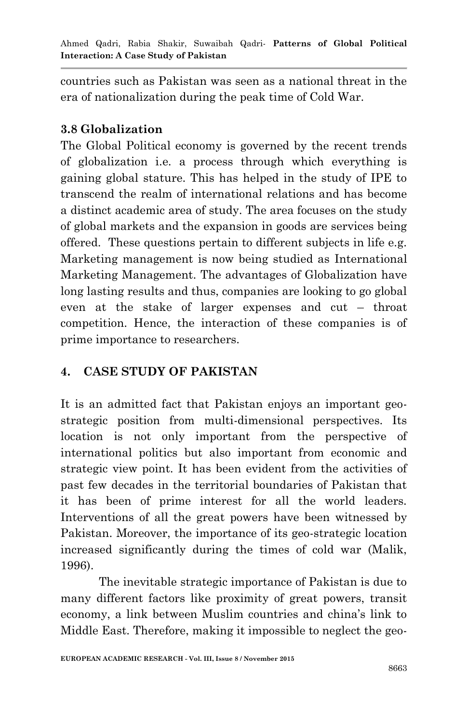countries such as Pakistan was seen as a national threat in the era of nationalization during the peak time of Cold War.

#### **3.8 Globalization**

The Global Political economy is governed by the recent trends of globalization i.e. a process through which everything is gaining global stature. This has helped in the study of IPE to transcend the realm of international relations and has become a distinct academic area of study. The area focuses on the study of global markets and the expansion in goods are services being offered. These questions pertain to different subjects in life e.g. Marketing management is now being studied as International Marketing Management. The advantages of Globalization have long lasting results and thus, companies are looking to go global even at the stake of larger expenses and cut – throat competition. Hence, the interaction of these companies is of prime importance to researchers.

## **4. CASE STUDY OF PAKISTAN**

It is an admitted fact that Pakistan enjoys an important geostrategic position from multi-dimensional perspectives. Its location is not only important from the perspective of international politics but also important from economic and strategic view point. It has been evident from the activities of past few decades in the territorial boundaries of Pakistan that it has been of prime interest for all the world leaders. Interventions of all the great powers have been witnessed by Pakistan. Moreover, the importance of its geo-strategic location increased significantly during the times of cold war (Malik, 1996).

The inevitable strategic importance of Pakistan is due to many different factors like proximity of great powers, transit economy, a link between Muslim countries and china"s link to Middle East. Therefore, making it impossible to neglect the geo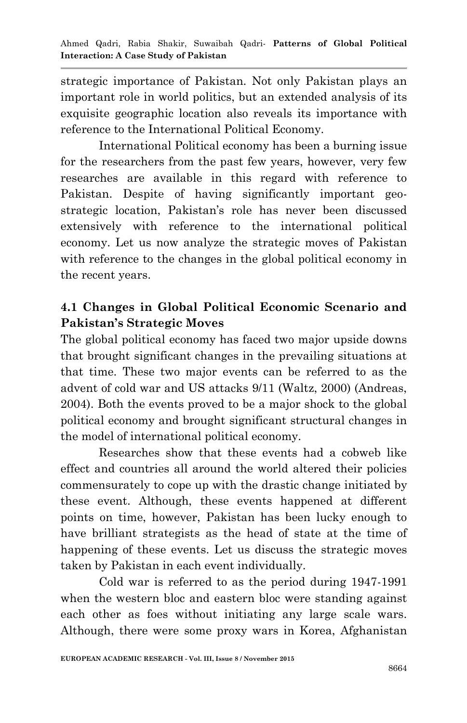strategic importance of Pakistan. Not only Pakistan plays an important role in world politics, but an extended analysis of its exquisite geographic location also reveals its importance with reference to the International Political Economy.

International Political economy has been a burning issue for the researchers from the past few years, however, very few researches are available in this regard with reference to Pakistan. Despite of having significantly important geostrategic location, Pakistan's role has never been discussed extensively with reference to the international political economy. Let us now analyze the strategic moves of Pakistan with reference to the changes in the global political economy in the recent years.

# **4.1 Changes in Global Political Economic Scenario and Pakistan's Strategic Moves**

The global political economy has faced two major upside downs that brought significant changes in the prevailing situations at that time. These two major events can be referred to as the advent of cold war and US attacks 9/11 (Waltz, 2000) (Andreas, 2004). Both the events proved to be a major shock to the global political economy and brought significant structural changes in the model of international political economy.

Researches show that these events had a cobweb like effect and countries all around the world altered their policies commensurately to cope up with the drastic change initiated by these event. Although, these events happened at different points on time, however, Pakistan has been lucky enough to have brilliant strategists as the head of state at the time of happening of these events. Let us discuss the strategic moves taken by Pakistan in each event individually.

Cold war is referred to as the period during 1947-1991 when the western bloc and eastern bloc were standing against each other as foes without initiating any large scale wars. Although, there were some proxy wars in Korea, Afghanistan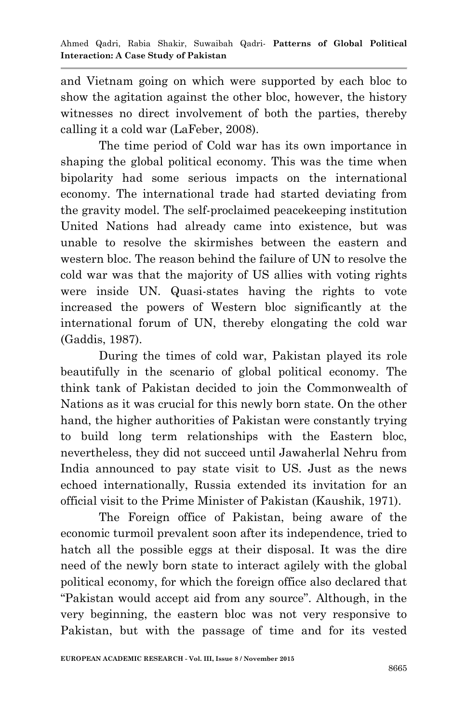and Vietnam going on which were supported by each bloc to show the agitation against the other bloc, however, the history witnesses no direct involvement of both the parties, thereby calling it a cold war (LaFeber, 2008).

The time period of Cold war has its own importance in shaping the global political economy. This was the time when bipolarity had some serious impacts on the international economy. The international trade had started deviating from the gravity model. The self-proclaimed peacekeeping institution United Nations had already came into existence, but was unable to resolve the skirmishes between the eastern and western bloc. The reason behind the failure of UN to resolve the cold war was that the majority of US allies with voting rights were inside UN. Quasi-states having the rights to vote increased the powers of Western bloc significantly at the international forum of UN, thereby elongating the cold war (Gaddis, 1987).

During the times of cold war, Pakistan played its role beautifully in the scenario of global political economy. The think tank of Pakistan decided to join the Commonwealth of Nations as it was crucial for this newly born state. On the other hand, the higher authorities of Pakistan were constantly trying to build long term relationships with the Eastern bloc, nevertheless, they did not succeed until Jawaherlal Nehru from India announced to pay state visit to US. Just as the news echoed internationally, Russia extended its invitation for an official visit to the Prime Minister of Pakistan (Kaushik, 1971).

The Foreign office of Pakistan, being aware of the economic turmoil prevalent soon after its independence, tried to hatch all the possible eggs at their disposal. It was the dire need of the newly born state to interact agilely with the global political economy, for which the foreign office also declared that "Pakistan would accept aid from any source". Although, in the very beginning, the eastern bloc was not very responsive to Pakistan, but with the passage of time and for its vested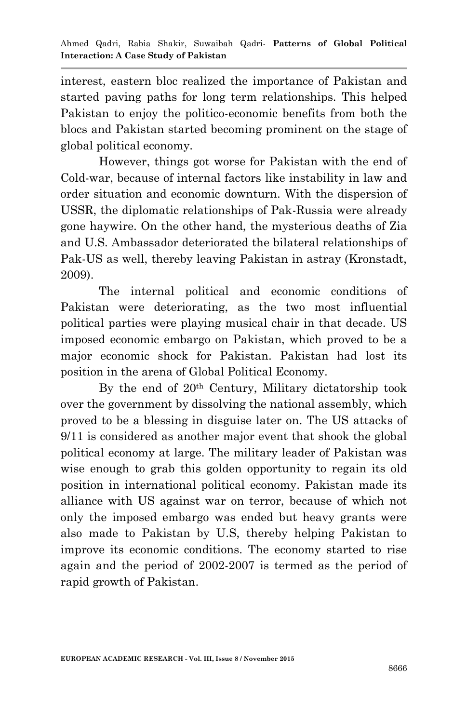interest, eastern bloc realized the importance of Pakistan and started paving paths for long term relationships. This helped Pakistan to enjoy the politico-economic benefits from both the blocs and Pakistan started becoming prominent on the stage of global political economy.

However, things got worse for Pakistan with the end of Cold-war, because of internal factors like instability in law and order situation and economic downturn. With the dispersion of USSR, the diplomatic relationships of Pak-Russia were already gone haywire. On the other hand, the mysterious deaths of Zia and U.S. Ambassador deteriorated the bilateral relationships of Pak-US as well, thereby leaving Pakistan in astray (Kronstadt, 2009).

The internal political and economic conditions of Pakistan were deteriorating, as the two most influential political parties were playing musical chair in that decade. US imposed economic embargo on Pakistan, which proved to be a major economic shock for Pakistan. Pakistan had lost its position in the arena of Global Political Economy.

By the end of 20th Century, Military dictatorship took over the government by dissolving the national assembly, which proved to be a blessing in disguise later on. The US attacks of 9/11 is considered as another major event that shook the global political economy at large. The military leader of Pakistan was wise enough to grab this golden opportunity to regain its old position in international political economy. Pakistan made its alliance with US against war on terror, because of which not only the imposed embargo was ended but heavy grants were also made to Pakistan by U.S, thereby helping Pakistan to improve its economic conditions. The economy started to rise again and the period of 2002-2007 is termed as the period of rapid growth of Pakistan.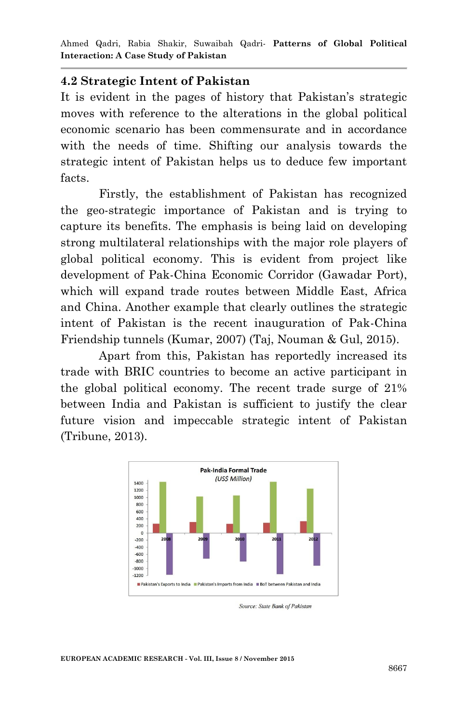Ahmed Qadri, Rabia Shakir, Suwaibah Qadri*-* **Patterns of Global Political Interaction: A Case Study of Pakistan**

#### **4.2 Strategic Intent of Pakistan**

It is evident in the pages of history that Pakistan's strategic moves with reference to the alterations in the global political economic scenario has been commensurate and in accordance with the needs of time. Shifting our analysis towards the strategic intent of Pakistan helps us to deduce few important facts.

Firstly, the establishment of Pakistan has recognized the geo-strategic importance of Pakistan and is trying to capture its benefits. The emphasis is being laid on developing strong multilateral relationships with the major role players of global political economy. This is evident from project like development of Pak-China Economic Corridor (Gawadar Port), which will expand trade routes between Middle East, Africa and China. Another example that clearly outlines the strategic intent of Pakistan is the recent inauguration of Pak-China Friendship tunnels (Kumar, 2007) (Taj, Nouman & Gul, 2015).

Apart from this, Pakistan has reportedly increased its trade with BRIC countries to become an active participant in the global political economy. The recent trade surge of 21% between India and Pakistan is sufficient to justify the clear future vision and impeccable strategic intent of Pakistan (Tribune, 2013).



Source: State Bank of Pakistan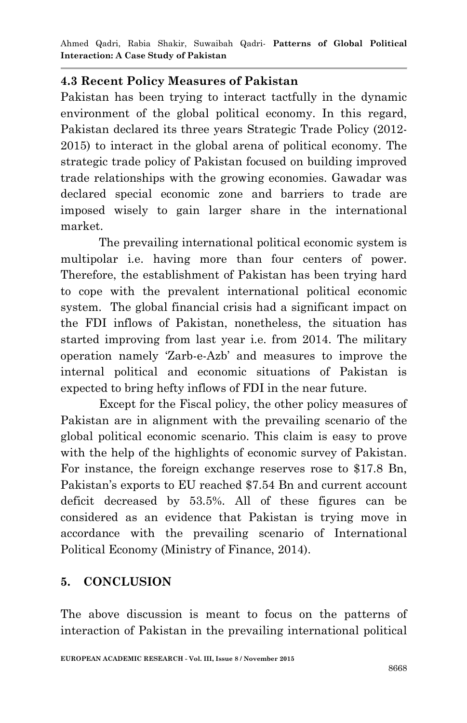Ahmed Qadri, Rabia Shakir, Suwaibah Qadri*-* **Patterns of Global Political Interaction: A Case Study of Pakistan**

#### **4.3 Recent Policy Measures of Pakistan**

Pakistan has been trying to interact tactfully in the dynamic environment of the global political economy. In this regard, Pakistan declared its three years Strategic Trade Policy (2012- 2015) to interact in the global arena of political economy. The strategic trade policy of Pakistan focused on building improved trade relationships with the growing economies. Gawadar was declared special economic zone and barriers to trade are imposed wisely to gain larger share in the international market.

The prevailing international political economic system is multipolar i.e. having more than four centers of power. Therefore, the establishment of Pakistan has been trying hard to cope with the prevalent international political economic system. The global financial crisis had a significant impact on the FDI inflows of Pakistan, nonetheless, the situation has started improving from last year i.e. from 2014. The military operation namely "Zarb-e-Azb" and measures to improve the internal political and economic situations of Pakistan is expected to bring hefty inflows of FDI in the near future.

Except for the Fiscal policy, the other policy measures of Pakistan are in alignment with the prevailing scenario of the global political economic scenario. This claim is easy to prove with the help of the highlights of economic survey of Pakistan. For instance, the foreign exchange reserves rose to \$17.8 Bn, Pakistan's exports to EU reached \$7.54 Bn and current account deficit decreased by 53.5%. All of these figures can be considered as an evidence that Pakistan is trying move in accordance with the prevailing scenario of International Political Economy (Ministry of Finance, 2014).

#### **5. CONCLUSION**

The above discussion is meant to focus on the patterns of interaction of Pakistan in the prevailing international political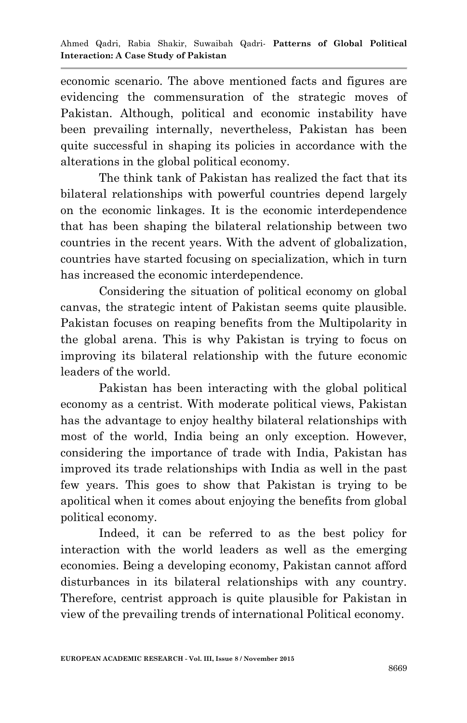economic scenario. The above mentioned facts and figures are evidencing the commensuration of the strategic moves of Pakistan. Although, political and economic instability have been prevailing internally, nevertheless, Pakistan has been quite successful in shaping its policies in accordance with the alterations in the global political economy.

The think tank of Pakistan has realized the fact that its bilateral relationships with powerful countries depend largely on the economic linkages. It is the economic interdependence that has been shaping the bilateral relationship between two countries in the recent years. With the advent of globalization, countries have started focusing on specialization, which in turn has increased the economic interdependence.

Considering the situation of political economy on global canvas, the strategic intent of Pakistan seems quite plausible. Pakistan focuses on reaping benefits from the Multipolarity in the global arena. This is why Pakistan is trying to focus on improving its bilateral relationship with the future economic leaders of the world.

Pakistan has been interacting with the global political economy as a centrist. With moderate political views, Pakistan has the advantage to enjoy healthy bilateral relationships with most of the world, India being an only exception. However, considering the importance of trade with India, Pakistan has improved its trade relationships with India as well in the past few years. This goes to show that Pakistan is trying to be apolitical when it comes about enjoying the benefits from global political economy.

Indeed, it can be referred to as the best policy for interaction with the world leaders as well as the emerging economies. Being a developing economy, Pakistan cannot afford disturbances in its bilateral relationships with any country. Therefore, centrist approach is quite plausible for Pakistan in view of the prevailing trends of international Political economy.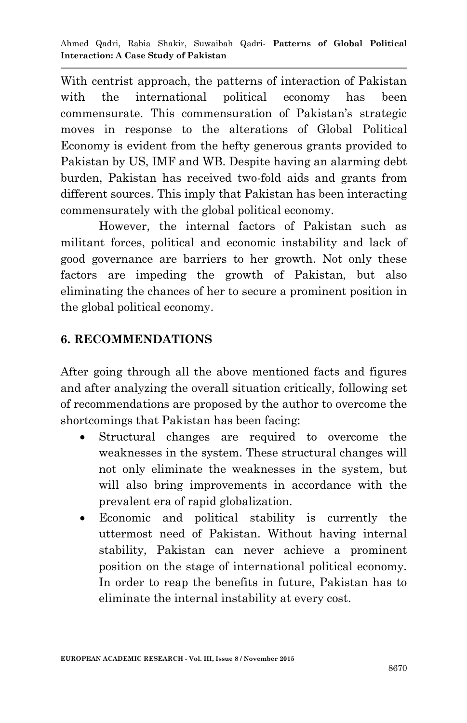With centrist approach, the patterns of interaction of Pakistan with the international political economy has been commensurate. This commensuration of Pakistan's strategic moves in response to the alterations of Global Political Economy is evident from the hefty generous grants provided to Pakistan by US, IMF and WB. Despite having an alarming debt burden, Pakistan has received two-fold aids and grants from different sources. This imply that Pakistan has been interacting commensurately with the global political economy.

However, the internal factors of Pakistan such as militant forces, political and economic instability and lack of good governance are barriers to her growth. Not only these factors are impeding the growth of Pakistan, but also eliminating the chances of her to secure a prominent position in the global political economy.

# **6. RECOMMENDATIONS**

After going through all the above mentioned facts and figures and after analyzing the overall situation critically, following set of recommendations are proposed by the author to overcome the shortcomings that Pakistan has been facing:

- Structural changes are required to overcome the weaknesses in the system. These structural changes will not only eliminate the weaknesses in the system, but will also bring improvements in accordance with the prevalent era of rapid globalization.
- Economic and political stability is currently the uttermost need of Pakistan. Without having internal stability, Pakistan can never achieve a prominent position on the stage of international political economy. In order to reap the benefits in future, Pakistan has to eliminate the internal instability at every cost.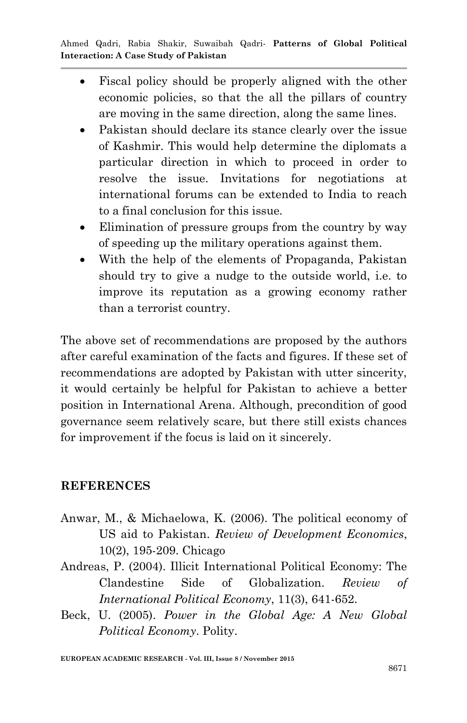- Fiscal policy should be properly aligned with the other economic policies, so that the all the pillars of country are moving in the same direction, along the same lines.
- Pakistan should declare its stance clearly over the issue of Kashmir. This would help determine the diplomats a particular direction in which to proceed in order to resolve the issue. Invitations for negotiations at international forums can be extended to India to reach to a final conclusion for this issue.
- Elimination of pressure groups from the country by way of speeding up the military operations against them.
- With the help of the elements of Propaganda, Pakistan should try to give a nudge to the outside world, i.e. to improve its reputation as a growing economy rather than a terrorist country.

The above set of recommendations are proposed by the authors after careful examination of the facts and figures. If these set of recommendations are adopted by Pakistan with utter sincerity, it would certainly be helpful for Pakistan to achieve a better position in International Arena. Although, precondition of good governance seem relatively scare, but there still exists chances for improvement if the focus is laid on it sincerely.

#### **REFERENCES**

- Anwar, M., & Michaelowa, K. (2006). The political economy of US aid to Pakistan. *Review of Development Economics*, 10(2), 195-209. Chicago
- Andreas, P. (2004). Illicit International Political Economy: The Clandestine Side of Globalization. *Review of International Political Economy*, 11(3), 641-652.
- Beck, U. (2005). *Power in the Global Age: A New Global Political Economy*. Polity.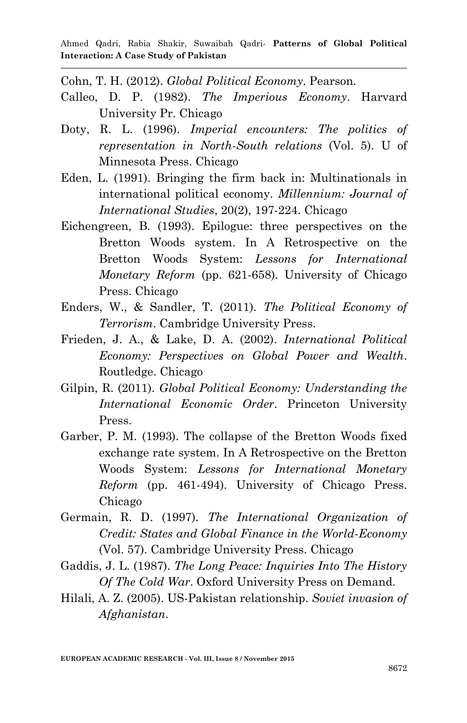Cohn, T. H. (2012). *Global Political Economy*. Pearson.

- Calleo, D. P. (1982). *The Imperious Economy*. Harvard University Pr. Chicago
- Doty, R. L. (1996). *Imperial encounters: The politics of representation in North-South relations* (Vol. 5). U of Minnesota Press. Chicago
- Eden, L. (1991). Bringing the firm back in: Multinationals in international political economy. *Millennium: Journal of International Studies*, 20(2), 197-224. Chicago
- Eichengreen, B. (1993). Epilogue: three perspectives on the Bretton Woods system. In A Retrospective on the Bretton Woods System: *Lessons for International Monetary Reform* (pp. 621-658). University of Chicago Press. Chicago
- Enders, W., & Sandler, T. (2011). *The Political Economy of Terrorism*. Cambridge University Press.
- Frieden, J. A., & Lake, D. A. (2002). *International Political Economy: Perspectives on Global Power and Wealth*. Routledge. Chicago
- Gilpin, R. (2011). *Global Political Economy: Understanding the International Economic Order*. Princeton University Press.
- Garber, P. M. (1993). The collapse of the Bretton Woods fixed exchange rate system. In A Retrospective on the Bretton Woods System: *Lessons for International Monetary Reform* (pp. 461-494). University of Chicago Press. Chicago
- Germain, R. D. (1997). *The International Organization of Credit: States and Global Finance in the World-Economy* (Vol. 57). Cambridge University Press. Chicago
- Gaddis, J. L. (1987). *The Long Peace: Inquiries Into The History Of The Cold War*. Oxford University Press on Demand.
- Hilali, A. Z. (2005). US-Pakistan relationship. *Soviet invasion of Afghanistan*.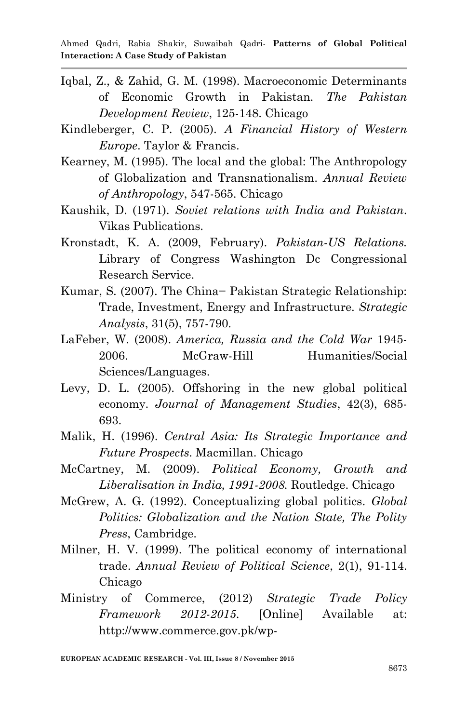- Iqbal, Z., & Zahid, G. M. (1998). Macroeconomic Determinants of Economic Growth in Pakistan. *The Pakistan Development Review*, 125-148. Chicago
- Kindleberger, C. P. (2005). *A Financial History of Western Europe*. Taylor & Francis.
- Kearney, M. (1995). The local and the global: The Anthropology of Globalization and Transnationalism. *Annual Review of Anthropology*, 547-565. Chicago
- Kaushik, D. (1971). *Soviet relations with India and Pakistan*. Vikas Publications.
- Kronstadt, K. A. (2009, February). *Pakistan-US Relations.*  Library of Congress Washington Dc Congressional Research Service.
- Kumar, S. (2007). The China− Pakistan Strategic Relationship: Trade, Investment, Energy and Infrastructure. *Strategic Analysis*, 31(5), 757-790.
- LaFeber, W. (2008). *America, Russia and the Cold War* 1945- 2006. McGraw-Hill Humanities/Social Sciences/Languages.
- Levy, D. L. (2005). Offshoring in the new global political economy. *Journal of Management Studies*, 42(3), 685- 693.
- Malik, H. (1996). *Central Asia: Its Strategic Importance and Future Prospects*. Macmillan. Chicago
- McCartney, M. (2009). *Political Economy, Growth and Liberalisation in India, 1991-2008.* Routledge. Chicago
- McGrew, A. G. (1992). Conceptualizing global politics. *Global Politics: Globalization and the Nation State, The Polity Press*, Cambridge.
- Milner, H. V. (1999). The political economy of international trade. *Annual Review of Political Science*, 2(1), 91-114. Chicago
- Ministry of Commerce, (2012) *Strategic Trade Policy Framework 2012-2015*. [Online] Available at: http://www.commerce.gov.pk/wp-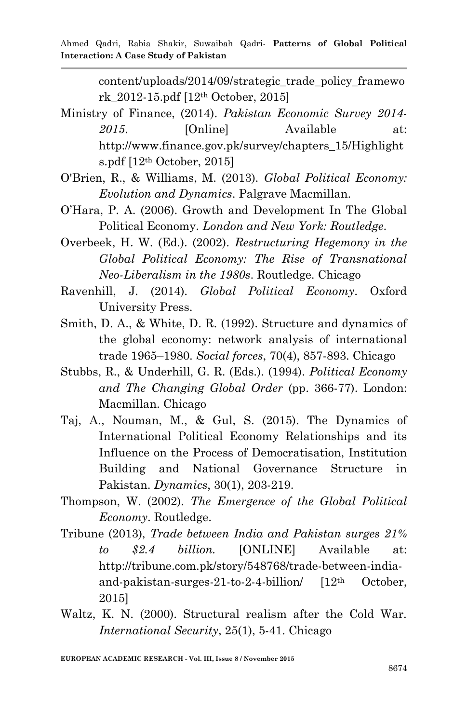content/uploads/2014/09/strategic\_trade\_policy\_framewo rk\_2012-15.pdf [12th October, 2015]

- Ministry of Finance, (2014). *Pakistan Economic Survey 2014-* 2015. **[Online]** Available at: http://www.finance.gov.pk/survey/chapters\_15/Highlight s.pdf [12th October, 2015]
- O'Brien, R., & Williams, M. (2013). *Global Political Economy: Evolution and Dynamics*. Palgrave Macmillan.
- O"Hara, P. A. (2006). Growth and Development In The Global Political Economy. *London and New York: Routledge*.
- Overbeek, H. W. (Ed.). (2002). *Restructuring Hegemony in the Global Political Economy: The Rise of Transnational Neo-Liberalism in the 1980s*. Routledge. Chicago
- Ravenhill, J. (2014). *Global Political Economy*. Oxford University Press.
- Smith, D. A., & White, D. R. (1992). Structure and dynamics of the global economy: network analysis of international trade 1965–1980. *Social forces*, 70(4), 857-893. Chicago
- Stubbs, R., & Underhill, G. R. (Eds.). (1994). *Political Economy and The Changing Global Order* (pp. 366-77). London: Macmillan. Chicago
- Taj, A., Nouman, M., & Gul, S. (2015). The Dynamics of International Political Economy Relationships and its Influence on the Process of Democratisation, Institution Building and National Governance Structure in Pakistan. *Dynamics*, 30(1), 203-219.
- Thompson, W. (2002). *The Emergence of the Global Political Economy*. Routledge.
- Tribune (2013), *Trade between India and Pakistan surges 21% to \$2.4 billion.* [ONLINE] Available at: http://tribune.com.pk/story/548768/trade-between-indiaand-pakistan-surges-21-to-2-4-billion/ [12th October, 2015]
- Waltz, K. N. (2000). Structural realism after the Cold War. *International Security*, 25(1), 5-41. Chicago